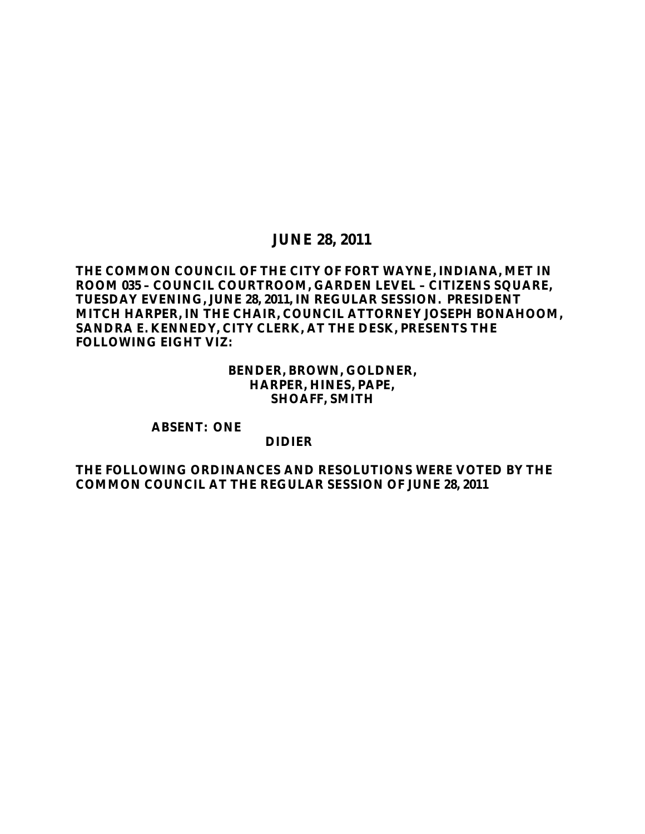## **JUNE 28, 2011**

## **THE COMMON COUNCIL OF THE CITY OF FORT WAYNE, INDIANA, MET IN ROOM 035 – COUNCIL COURTROOM, GARDEN LEVEL – CITIZENS SQUARE, TUESDAY EVENING, JUNE 28, 2011, IN REGULAR SESSION. PRESIDENT MITCH HARPER, IN THE CHAIR, COUNCIL ATTORNEY JOSEPH BONAHOOM, SANDRA E. KENNEDY, CITY CLERK, AT THE DESK, PRESENTS THE FOLLOWING EIGHT VIZ:**

**BENDER, BROWN, GOLDNER, HARPER, HINES, PAPE, SHOAFF, SMITH**

**ABSENT: ONE**

### **DIDIER**

**THE FOLLOWING ORDINANCES AND RESOLUTIONS WERE VOTED BY THE COMMON COUNCIL AT THE REGULAR SESSION OF JUNE 28, 2011**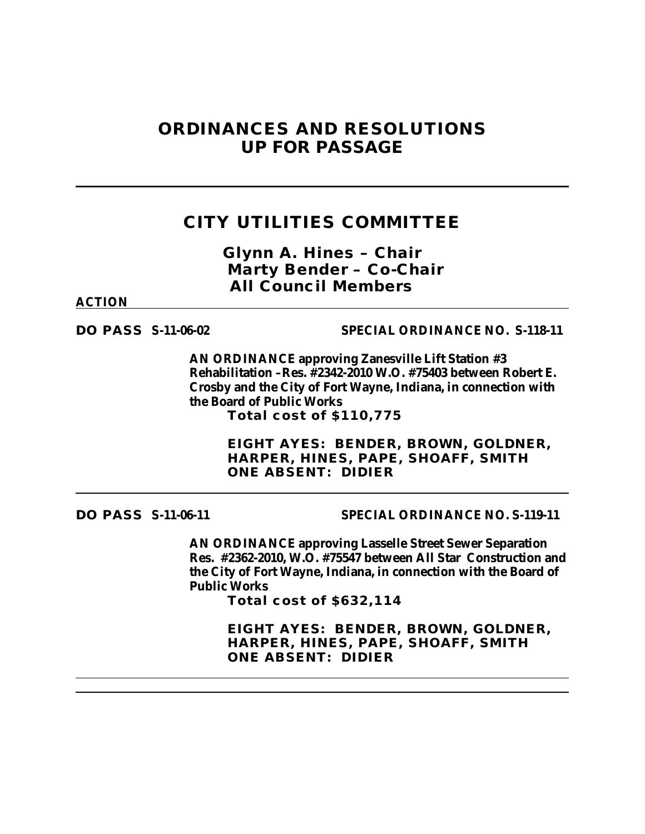# **ORDINANCES AND RESOLUTIONS UP FOR PASSAGE**

# **CITY UTILITIES COMMITTEE**

*Glynn A. Hines – Chair Marty Bender – Co-Chair All Council Members*

### **ACTION**

## **DO PASS S-11-06-02 SPECIAL ORDINANCE NO. S-118-11**

**AN ORDINANCE approving Zanesville Lift Station #3 Rehabilitation –Res. #2342-2010 W.O. #75403 between Robert E. Crosby and the City of Fort Wayne, Indiana, in connection with the Board of Public Works Total cost of \$110,775**

> **EIGHT AYES: BENDER, BROWN, GOLDNER, HARPER, HINES, PAPE, SHOAFF, SMITH ONE ABSENT: DIDIER**

**DO PASS S-11-06-11 SPECIAL ORDINANCE NO. S-119-11**

**AN ORDINANCE approving Lasselle Street Sewer Separation Res. #2362-2010, W.O. #75547 between All Star Construction and the City of Fort Wayne, Indiana, in connection with the Board of Public Works**

**Total cost of \$632,114**

**EIGHT AYES: BENDER, BROWN, GOLDNER, HARPER, HINES, PAPE, SHOAFF, SMITH ONE ABSENT: DIDIER**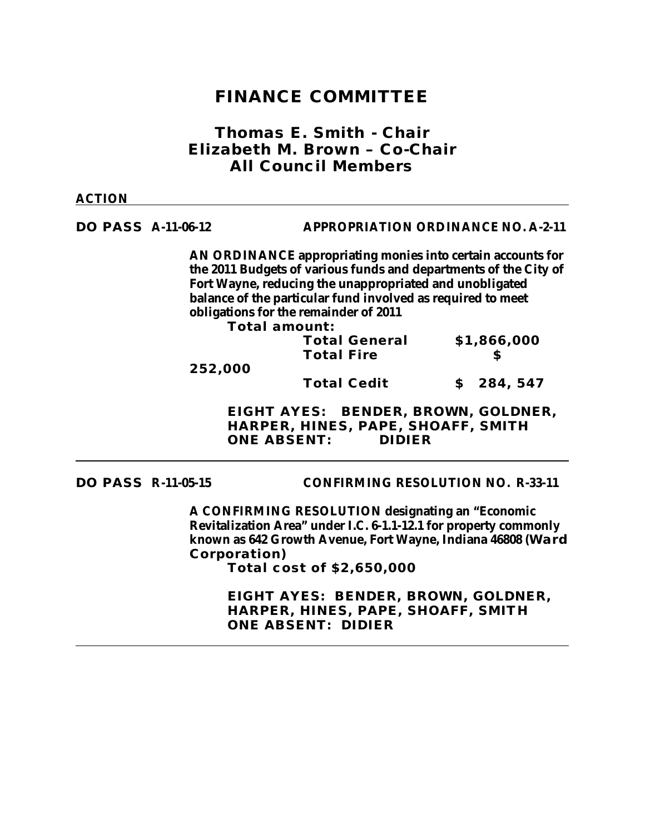## **FINANCE COMMITTEE**

## *Thomas E. Smith - Chair Elizabeth M. Brown – Co-Chair All Council Members*

### **ACTION**

## **DO PASS A-11-06-12 APPROPRIATION ORDINANCE NO. A-2-11**

**AN ORDINANCE appropriating monies into certain accounts for the 2011 Budgets of various funds and departments of the City of Fort Wayne, reducing the unappropriated and unobligated balance of the particular fund involved as required to meet obligations for the remainder of 2011**

**Total amount:**

| 252,000 | <b>Total General</b><br><b>Total Fire</b> | \$1,866,000 |           |
|---------|-------------------------------------------|-------------|-----------|
|         | <b>Total Cedit</b>                        |             | \$284,547 |

**EIGHT AYES: BENDER, BROWN, GOLDNER, HARPER, HINES, PAPE, SHOAFF, SMITH ONE ABSENT: DIDIER**

**DO PASS R-11-05-15 CONFIRMING RESOLUTION NO. R-33-11**

**A CONFIRMING RESOLUTION designating an "Economic Revitalization Area" under I.C. 6-1.1-12.1 for property commonly known as 642 Growth Avenue, Fort Wayne, Indiana 46808 (Ward Corporation)**

**Total cost of \$2,650,000**

**EIGHT AYES: BENDER, BROWN, GOLDNER, HARPER, HINES, PAPE, SHOAFF, SMITH ONE ABSENT: DIDIER**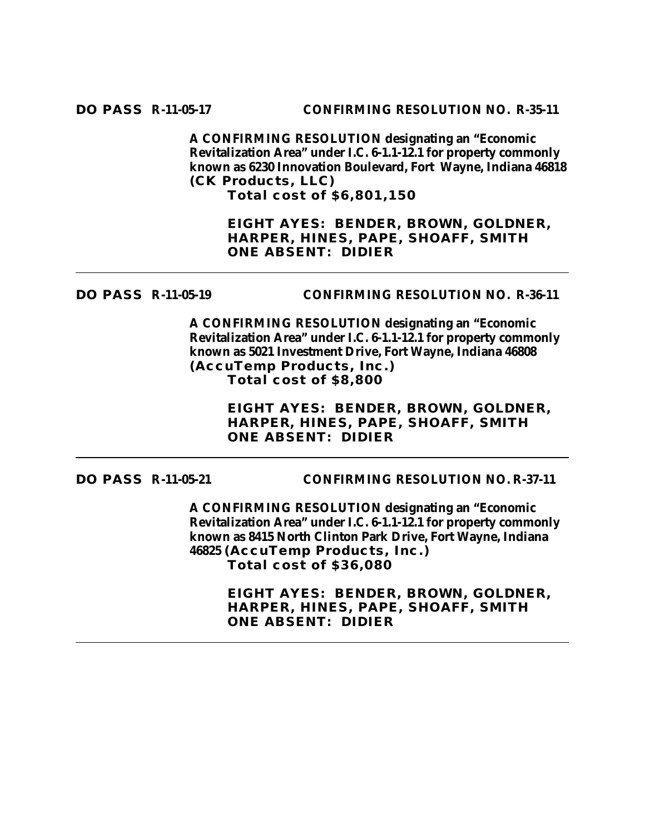**A CONFIRMING RESOLUTION designating an "Economic Revitalization Area" under I.C. 6-1.1-12.1 for property commonly known as 6230 Innovation Boulevard, Fort Wayne, Indiana 46818 (CK Products, LLC) Total cost of \$6,801,150**

**EIGHT AYES: BENDER, BROWN, GOLDNER, HARPER, HINES, PAPE, SHOAFF, SMITH ONE ABSENT: DIDIER**

## **DO PASS R-11-05-19 CONFIRMING RESOLUTION NO. R-36-11**

**A CONFIRMING RESOLUTION designating an "Economic Revitalization Area" under I.C. 6-1.1-12.1 for property commonly known as 5021 Investment Drive, Fort Wayne, Indiana 46808 (AccuTemp Products, Inc.) Total cost of \$8,800**

> **EIGHT AYES: BENDER, BROWN, GOLDNER, HARPER, HINES, PAPE, SHOAFF, SMITH ONE ABSENT: DIDIER**

**DO PASS R-11-05-21 CONFIRMING RESOLUTION NO. R-37-11**

**A CONFIRMING RESOLUTION designating an "Economic Revitalization Area" under I.C. 6-1.1-12.1 for property commonly known as 8415 North Clinton Park Drive, Fort Wayne, Indiana 46825 (AccuTemp Products, Inc.) Total cost of \$36,080**

> **EIGHT AYES: BENDER, BROWN, GOLDNER, HARPER, HINES, PAPE, SHOAFF, SMITH ONE ABSENT: DIDIER**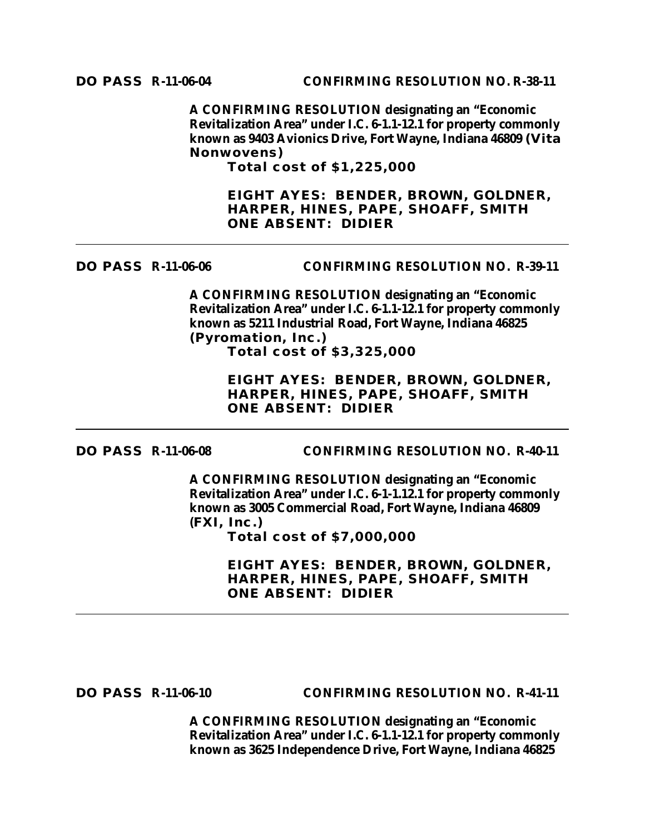**A CONFIRMING RESOLUTION designating an "Economic Revitalization Area" under I.C. 6-1.1-12.1 for property commonly known as 9403 Avionics Drive, Fort Wayne, Indiana 46809 (Vita Nonwovens)**

**Total cost of \$1,225,000**

**EIGHT AYES: BENDER, BROWN, GOLDNER, HARPER, HINES, PAPE, SHOAFF, SMITH ONE ABSENT: DIDIER**

**DO PASS R-11-06-06 CONFIRMING RESOLUTION NO. R-39-11**

**A CONFIRMING RESOLUTION designating an "Economic Revitalization Area" under I.C. 6-1.1-12.1 for property commonly known as 5211 Industrial Road, Fort Wayne, Indiana 46825 (Pyromation, Inc.) Total cost of \$3,325,000**

> **EIGHT AYES: BENDER, BROWN, GOLDNER, HARPER, HINES, PAPE, SHOAFF, SMITH ONE ABSENT: DIDIER**

**DO PASS R-11-06-08 CONFIRMING RESOLUTION NO. R-40-11**

**A CONFIRMING RESOLUTION designating an "Economic Revitalization Area" under I.C. 6-1-1.12.1 for property commonly known as 3005 Commercial Road, Fort Wayne, Indiana 46809 (FXI, Inc.)**

**Total cost of \$7,000,000**

**EIGHT AYES: BENDER, BROWN, GOLDNER, HARPER, HINES, PAPE, SHOAFF, SMITH ONE ABSENT: DIDIER**

**DO PASS R-11-06-10 CONFIRMING RESOLUTION NO. R-41-11**

**A CONFIRMING RESOLUTION designating an "Economic Revitalization Area" under I.C. 6-1.1-12.1 for property commonly known as 3625 Independence Drive, Fort Wayne, Indiana 46825**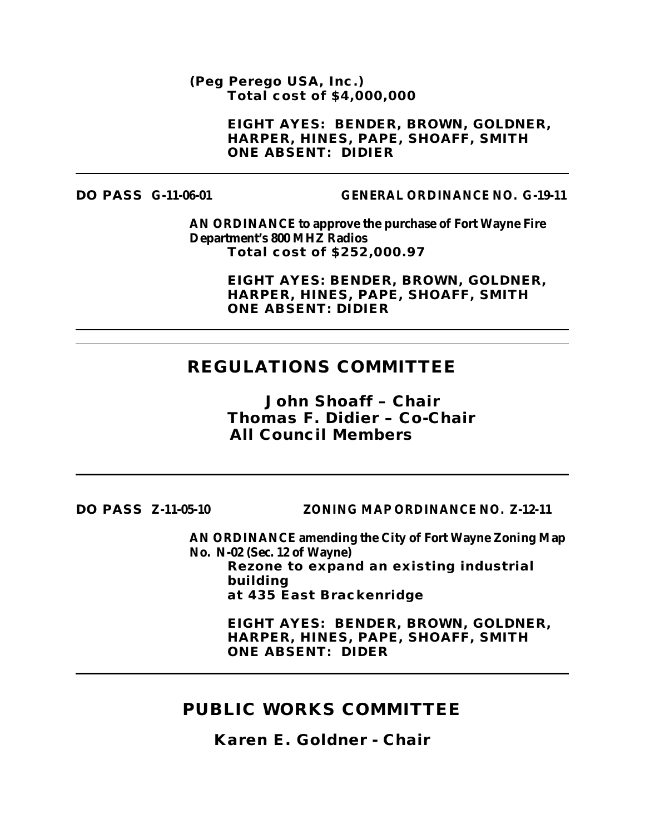**(Peg Perego USA, Inc.) Total cost of \$4,000,000**

> **EIGHT AYES: BENDER, BROWN, GOLDNER, HARPER, HINES, PAPE, SHOAFF, SMITH ONE ABSENT: DIDIER**

### **DO PASS G-11-06-01 GENERAL ORDINANCE NO. G-19-11**

**AN ORDINANCE to approve the purchase of Fort Wayne Fire Department's 800 MHZ Radios Total cost of \$252,000.97**

> **EIGHT AYES: BENDER, BROWN, GOLDNER, HARPER, HINES, PAPE, SHOAFF, SMITH ONE ABSENT: DIDIER**

## **REGULATIONS COMMITTEE**

*John Shoaff – Chair Thomas F. Didier – Co-Chair All Council Members*

**DO PASS Z-11-05-10 ZONING MAP ORDINANCE NO. Z-12-11**

**AN ORDINANCE amending the City of Fort Wayne Zoning Map No. N-02 (Sec. 12 of Wayne) Rezone to expand an existing industrial building at 435 East Brackenridge**

**EIGHT AYES: BENDER, BROWN, GOLDNER, HARPER, HINES, PAPE, SHOAFF, SMITH ONE ABSENT: DIDER**

## **PUBLIC WORKS COMMITTEE**

*Karen E. Goldner - Chair*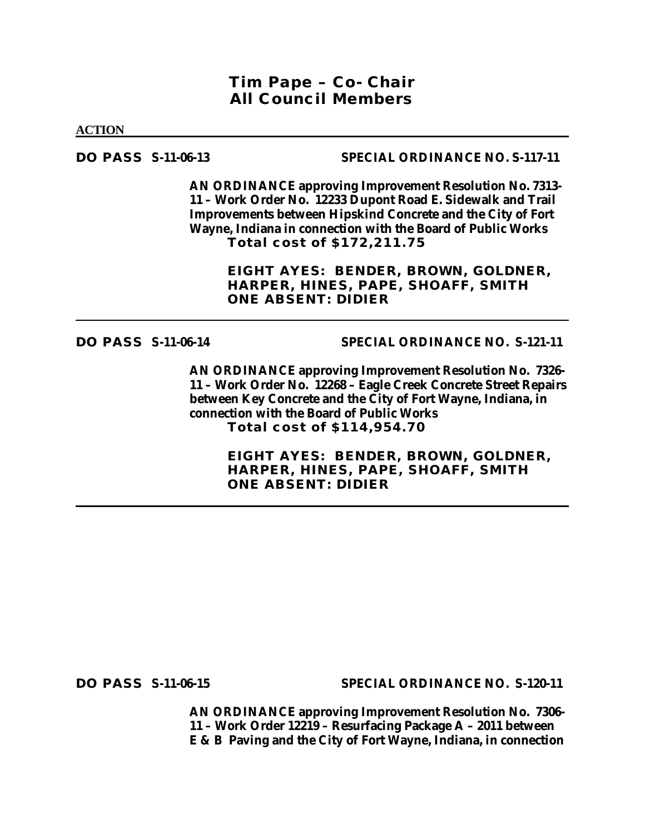## *Tim Pape – Co- Chair All Council Members*

**ACTION**

## **DO PASS S-11-06-13 SPECIAL ORDINANCE NO. S-117-11**

**AN ORDINANCE approving Improvement Resolution No. 7313- 11 – Work Order No. 12233 Dupont Road E. Sidewalk and Trail Improvements between Hipskind Concrete and the City of Fort Wayne, Indiana in connection with the Board of Public Works Total cost of \$172,211.75**

> **EIGHT AYES: BENDER, BROWN, GOLDNER, HARPER, HINES, PAPE, SHOAFF, SMITH ONE ABSENT: DIDIER**

## **DO PASS S-11-06-14 SPECIAL ORDINANCE NO. S-121-11**

**AN ORDINANCE approving Improvement Resolution No. 7326- 11 – Work Order No. 12268 – Eagle Creek Concrete Street Repairs between Key Concrete and the City of Fort Wayne, Indiana, in connection with the Board of Public Works Total cost of \$114,954.70**

> **EIGHT AYES: BENDER, BROWN, GOLDNER, HARPER, HINES, PAPE, SHOAFF, SMITH ONE ABSENT: DIDIER**

**DO PASS S-11-06-15 SPECIAL ORDINANCE NO. S-120-11**

**AN ORDINANCE approving Improvement Resolution No. 7306- 11 – Work Order 12219 – Resurfacing Package A – 2011 between E & B Paving and the City of Fort Wayne, Indiana, in connection**